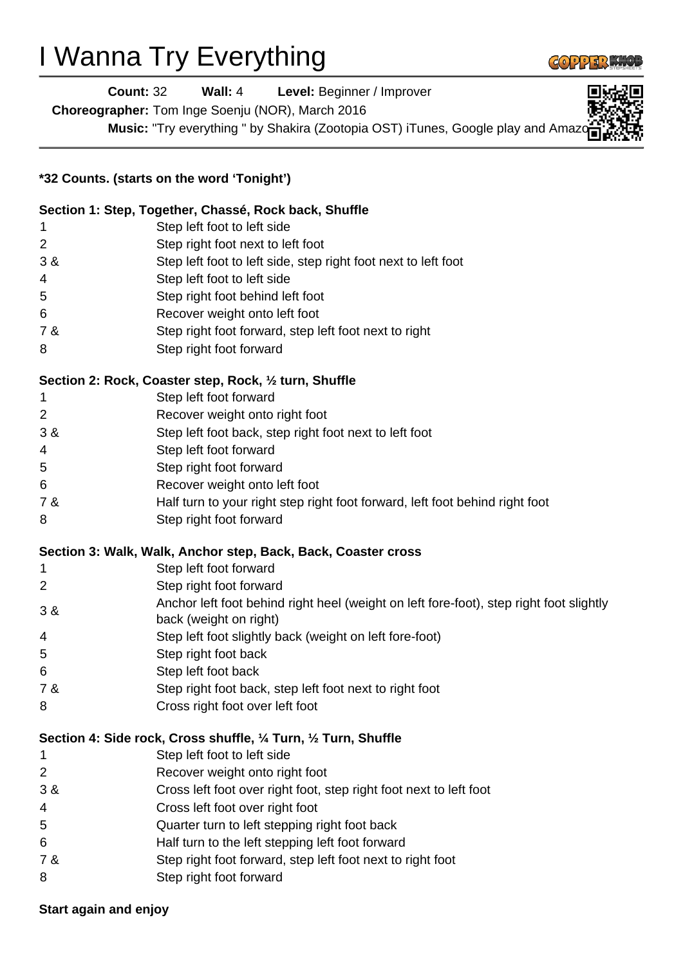## I Wanna Try Everything



**Count:** 32 **Wall:** 4 **Level:** Beginner / Improver

**Choreographer:** Tom Inge Soenju (NOR), March 2016

**Music:** "Try everything " by Shakira (Zootopia OST) iTunes, Google play and Amaz

| *32 Counts. (starts on the word 'Tonight') |                                                                                                                   |
|--------------------------------------------|-------------------------------------------------------------------------------------------------------------------|
|                                            | Section 1: Step, Together, Chassé, Rock back, Shuffle                                                             |
| 1                                          | Step left foot to left side                                                                                       |
| 2                                          | Step right foot next to left foot                                                                                 |
| 3 &                                        | Step left foot to left side, step right foot next to left foot                                                    |
| 4                                          | Step left foot to left side                                                                                       |
| 5                                          | Step right foot behind left foot                                                                                  |
| 6                                          | Recover weight onto left foot                                                                                     |
| 7 &                                        | Step right foot forward, step left foot next to right                                                             |
| 8                                          | Step right foot forward                                                                                           |
|                                            | Section 2: Rock, Coaster step, Rock, 1/2 turn, Shuffle                                                            |
| 1                                          | Step left foot forward                                                                                            |
| 2                                          | Recover weight onto right foot                                                                                    |
| 3 &                                        | Step left foot back, step right foot next to left foot                                                            |
| 4                                          | Step left foot forward                                                                                            |
| 5                                          | Step right foot forward                                                                                           |
| 6                                          | Recover weight onto left foot                                                                                     |
| 7 &                                        | Half turn to your right step right foot forward, left foot behind right foot                                      |
| 8                                          | Step right foot forward                                                                                           |
|                                            | Section 3: Walk, Walk, Anchor step, Back, Back, Coaster cross                                                     |
| 1                                          | Step left foot forward                                                                                            |
| 2                                          | Step right foot forward                                                                                           |
| 3 &                                        | Anchor left foot behind right heel (weight on left fore-foot), step right foot slightly<br>back (weight on right) |
| 4                                          | Step left foot slightly back (weight on left fore-foot)                                                           |
| 5                                          | Step right foot back                                                                                              |
| 6                                          | Step left foot back                                                                                               |
| 7 &                                        | Step right foot back, step left foot next to right foot                                                           |
| 8                                          | Cross right foot over left foot                                                                                   |
|                                            | Section 4: Side rock, Cross shuffle, 1/4 Turn, 1/2 Turn, Shuffle                                                  |
| 1                                          | Step left foot to left side                                                                                       |
| 2                                          | Recover weight onto right foot                                                                                    |
| 3 &                                        | Cross left foot over right foot, step right foot next to left foot                                                |
| 4                                          | Cross left foot over right foot                                                                                   |
| 5                                          | Quarter turn to left stepping right foot back                                                                     |
| 6                                          | Half turn to the left stepping left foot forward                                                                  |
| 7 &                                        | Step right foot forward, step left foot next to right foot                                                        |
| 8                                          | Step right foot forward                                                                                           |

## **Start again and enjoy**